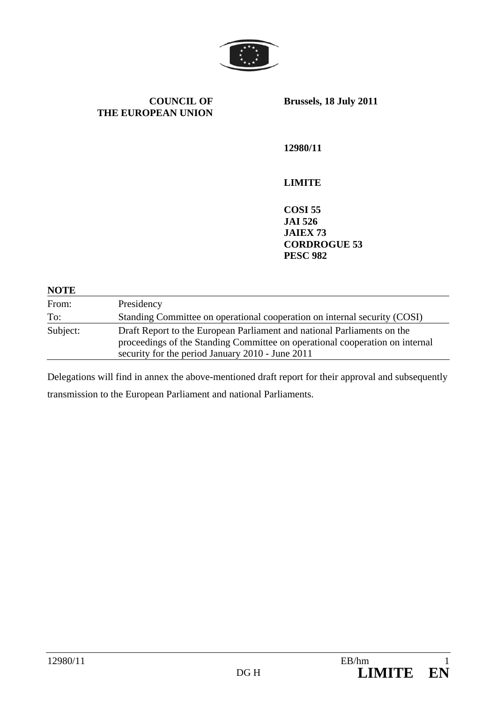

**COUNCIL OF THE EUROPEAN UNION** **Brussels, 18 July 2011** 

**12980/11** 

**LIMITE** 

**COSI 55 JAI 526 JAIEX 73 CORDROGUE 53 PESC 982** 

#### **NOTE**

| From:    | Presidency                                                                                                                                                                                                  |
|----------|-------------------------------------------------------------------------------------------------------------------------------------------------------------------------------------------------------------|
| To:      | Standing Committee on operational cooperation on internal security (COSI)                                                                                                                                   |
| Subject: | Draft Report to the European Parliament and national Parliaments on the<br>proceedings of the Standing Committee on operational cooperation on internal<br>security for the period January 2010 - June 2011 |

Delegations will find in annex the above-mentioned draft report for their approval and subsequently transmission to the European Parliament and national Parliaments.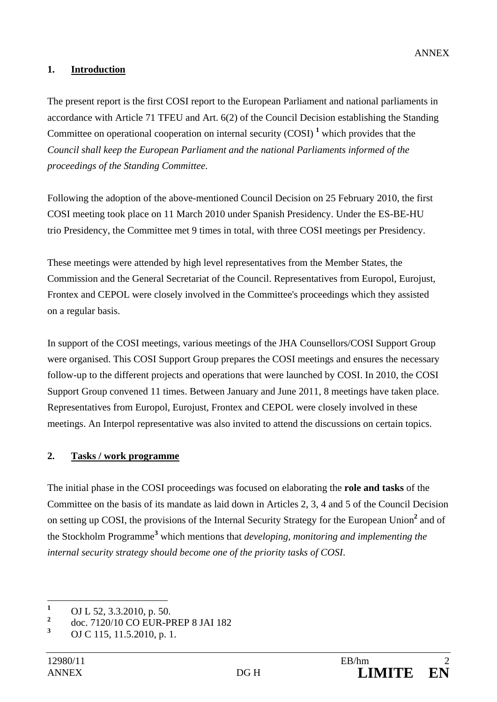#### **1. Introduction**

The present report is the first COSI report to the European Parliament and national parliaments in accordance with Article 71 TFEU and Art. 6(2) of the Council Decision establishing the Standing Committee on operational cooperation on internal security  $(COSI)^1$  which provides that the *Council shall keep the European Parliament and the national Parliaments informed of the proceedings of the Standing Committee*.

Following the adoption of the above-mentioned Council Decision on 25 February 2010, the first COSI meeting took place on 11 March 2010 under Spanish Presidency. Under the ES-BE-HU trio Presidency, the Committee met 9 times in total, with three COSI meetings per Presidency.

These meetings were attended by high level representatives from the Member States, the Commission and the General Secretariat of the Council. Representatives from Europol, Eurojust, Frontex and CEPOL were closely involved in the Committee's proceedings which they assisted on a regular basis.

In support of the COSI meetings, various meetings of the JHA Counsellors/COSI Support Group were organised. This COSI Support Group prepares the COSI meetings and ensures the necessary follow-up to the different projects and operations that were launched by COSI. In 2010, the COSI Support Group convened 11 times. Between January and June 2011, 8 meetings have taken place. Representatives from Europol, Eurojust, Frontex and CEPOL were closely involved in these meetings. An Interpol representative was also invited to attend the discussions on certain topics.

## **2. Tasks / work programme**

The initial phase in the COSI proceedings was focused on elaborating the **role and tasks** of the Committee on the basis of its mandate as laid down in Articles 2, 3, 4 and 5 of the Council Decision on setting up COSI, the provisions of the Internal Security Strategy for the European Union<sup>2</sup> and of the Stockholm Programme**<sup>3</sup>** which mentions that *developing, monitoring and implementing the internal security strategy should become one of the priority tasks of COSI*.

 **1** OJ L 52, 3.3.2010, p. 50.

**<sup>2</sup>** doc. 7120/10 CO EUR-PREP 8 JAI 182

**<sup>3</sup>** OJ C 115, 11.5.2010, p. 1.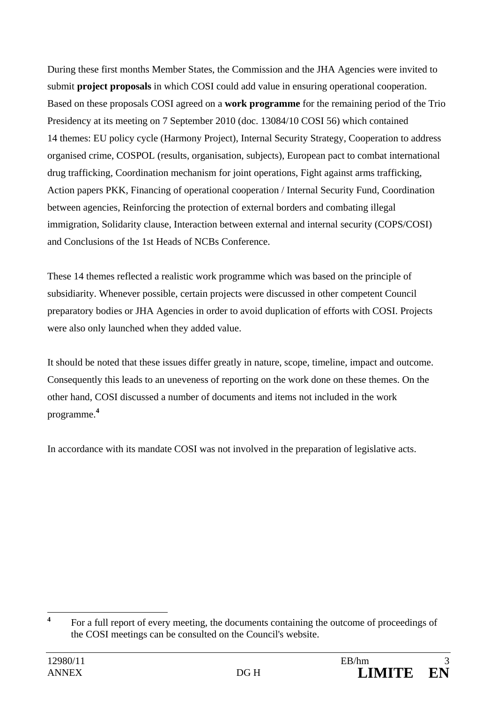During these first months Member States, the Commission and the JHA Agencies were invited to submit **project proposals** in which COSI could add value in ensuring operational cooperation. Based on these proposals COSI agreed on a **work programme** for the remaining period of the Trio Presidency at its meeting on 7 September 2010 (doc. 13084/10 COSI 56) which contained 14 themes: EU policy cycle (Harmony Project), Internal Security Strategy, Cooperation to address organised crime, COSPOL (results, organisation, subjects), European pact to combat international drug trafficking, Coordination mechanism for joint operations, Fight against arms trafficking, Action papers PKK, Financing of operational cooperation / Internal Security Fund, Coordination between agencies, Reinforcing the protection of external borders and combating illegal immigration, Solidarity clause, Interaction between external and internal security (COPS/COSI) and Conclusions of the 1st Heads of NCBs Conference.

These 14 themes reflected a realistic work programme which was based on the principle of subsidiarity. Whenever possible, certain projects were discussed in other competent Council preparatory bodies or JHA Agencies in order to avoid duplication of efforts with COSI. Projects were also only launched when they added value.

It should be noted that these issues differ greatly in nature, scope, timeline, impact and outcome. Consequently this leads to an uneveness of reporting on the work done on these themes. On the other hand, COSI discussed a number of documents and items not included in the work programme.**<sup>4</sup>**

In accordance with its mandate COSI was not involved in the preparation of legislative acts.

 **4** For a full report of every meeting, the documents containing the outcome of proceedings of the COSI meetings can be consulted on the Council's website.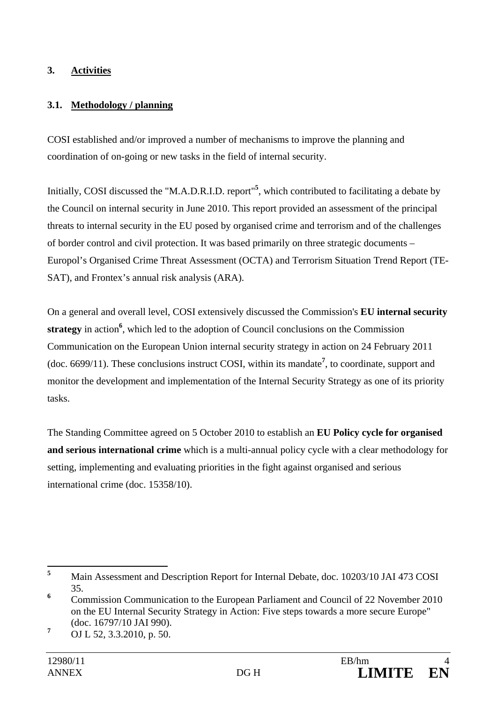## **3. Activities**

## **3.1. Methodology / planning**

COSI established and/or improved a number of mechanisms to improve the planning and coordination of on-going or new tasks in the field of internal security.

Initially, COSI discussed the "M.A.D.R.I.D. report"**<sup>5</sup>** , which contributed to facilitating a debate by the Council on internal security in June 2010. This report provided an assessment of the principal threats to internal security in the EU posed by organised crime and terrorism and of the challenges of border control and civil protection. It was based primarily on three strategic documents – Europol's Organised Crime Threat Assessment (OCTA) and Terrorism Situation Trend Report (TE-SAT), and Frontex's annual risk analysis (ARA).

On a general and overall level, COSI extensively discussed the Commission's **EU internal security**  strategy in action<sup>6</sup>, which led to the adoption of Council conclusions on the Commission Communication on the European Union internal security strategy in action on 24 February 2011 (doc. 6699/11). These conclusions instruct COSI, within its mandate**<sup>7</sup>** , to coordinate, support and monitor the development and implementation of the Internal Security Strategy as one of its priority tasks.

The Standing Committee agreed on 5 October 2010 to establish an **EU Policy cycle for organised and serious international crime** which is a multi-annual policy cycle with a clear methodology for setting, implementing and evaluating priorities in the fight against organised and serious international crime (doc. 15358/10).

 **5** Main Assessment and Description Report for Internal Debate, doc. 10203/10 JAI 473 COSI 35.

**<sup>6</sup>** Commission Communication to the European Parliament and Council of 22 November 2010 on the EU Internal Security Strategy in Action: Five steps towards a more secure Europe" (doc. 16797/10 JAI 990).

**<sup>7</sup>** OJ L 52, 3.3.2010, p. 50.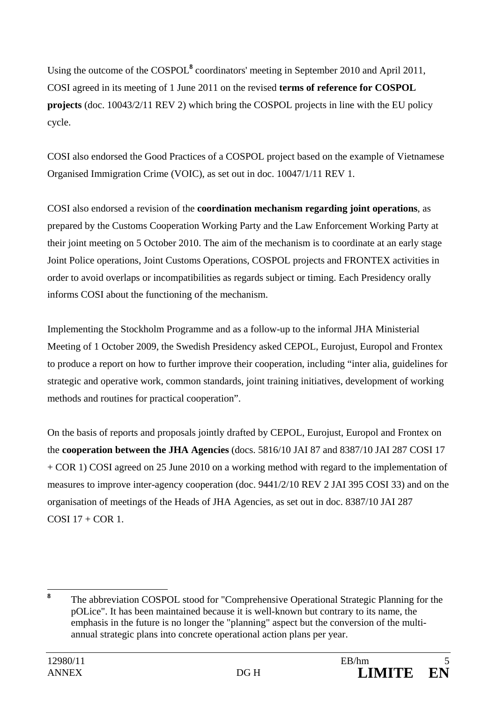Using the outcome of the COSPOL<sup>8</sup> coordinators' meeting in September 2010 and April 2011, COSI agreed in its meeting of 1 June 2011 on the revised **terms of reference for COSPOL projects** (doc. 10043/2/11 REV 2) which bring the COSPOL projects in line with the EU policy cycle.

COSI also endorsed the Good Practices of a COSPOL project based on the example of Vietnamese Organised Immigration Crime (VOIC), as set out in doc. 10047/1/11 REV 1.

COSI also endorsed a revision of the **coordination mechanism regarding joint operations**, as prepared by the Customs Cooperation Working Party and the Law Enforcement Working Party at their joint meeting on 5 October 2010. The aim of the mechanism is to coordinate at an early stage Joint Police operations, Joint Customs Operations, COSPOL projects and FRONTEX activities in order to avoid overlaps or incompatibilities as regards subject or timing. Each Presidency orally informs COSI about the functioning of the mechanism.

Implementing the Stockholm Programme and as a follow-up to the informal JHA Ministerial Meeting of 1 October 2009, the Swedish Presidency asked CEPOL, Eurojust, Europol and Frontex to produce a report on how to further improve their cooperation, including "inter alia, guidelines for strategic and operative work, common standards, joint training initiatives, development of working methods and routines for practical cooperation".

On the basis of reports and proposals jointly drafted by CEPOL, Eurojust, Europol and Frontex on the **cooperation between the JHA Agencies** (docs. 5816/10 JAI 87 and 8387/10 JAI 287 COSI 17 + COR 1) COSI agreed on 25 June 2010 on a working method with regard to the implementation of measures to improve inter-agency cooperation (doc. 9441/2/10 REV 2 JAI 395 COSI 33) and on the organisation of meetings of the Heads of JHA Agencies, as set out in doc. 8387/10 JAI 287  $COSI$  17 +  $COR$  1.

 **8** The abbreviation COSPOL stood for "Comprehensive Operational Strategic Planning for the pOLice". It has been maintained because it is well-known but contrary to its name, the emphasis in the future is no longer the "planning" aspect but the conversion of the multiannual strategic plans into concrete operational action plans per year.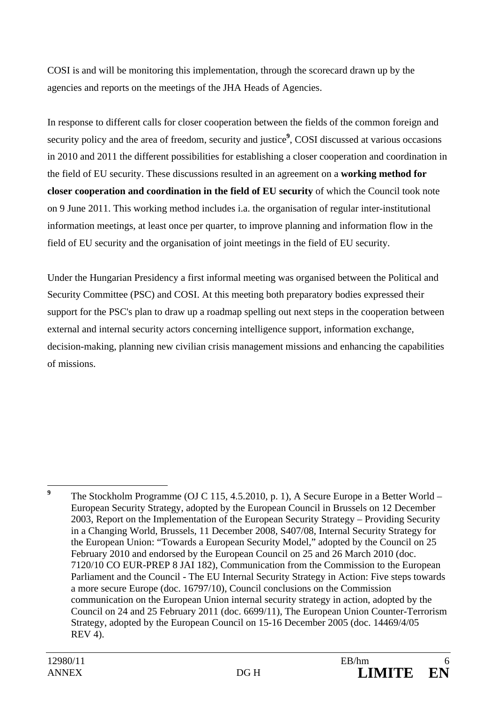COSI is and will be monitoring this implementation, through the scorecard drawn up by the agencies and reports on the meetings of the JHA Heads of Agencies.

In response to different calls for closer cooperation between the fields of the common foreign and security policy and the area of freedom, security and justice<sup>9</sup>, COSI discussed at various occasions in 2010 and 2011 the different possibilities for establishing a closer cooperation and coordination in the field of EU security. These discussions resulted in an agreement on a **working method for closer cooperation and coordination in the field of EU security** of which the Council took note on 9 June 2011. This working method includes i.a. the organisation of regular inter-institutional information meetings, at least once per quarter, to improve planning and information flow in the field of EU security and the organisation of joint meetings in the field of EU security.

Under the Hungarian Presidency a first informal meeting was organised between the Political and Security Committee (PSC) and COSI. At this meeting both preparatory bodies expressed their support for the PSC's plan to draw up a roadmap spelling out next steps in the cooperation between external and internal security actors concerning intelligence support, information exchange, decision-making, planning new civilian crisis management missions and enhancing the capabilities of missions.

 **9** The Stockholm Programme (OJ C 115, 4.5.2010, p. 1), A Secure Europe in a Better World – European Security Strategy, adopted by the European Council in Brussels on 12 December 2003, Report on the Implementation of the European Security Strategy – Providing Security in a Changing World, Brussels, 11 December 2008, S407/08, Internal Security Strategy for the European Union: "Towards a European Security Model," adopted by the Council on 25 February 2010 and endorsed by the European Council on 25 and 26 March 2010 (doc. 7120/10 CO EUR-PREP 8 JAI 182), Communication from the Commission to the European Parliament and the Council - The EU Internal Security Strategy in Action: Five steps towards a more secure Europe (doc. 16797/10), Council conclusions on the Commission communication on the European Union internal security strategy in action, adopted by the Council on 24 and 25 February 2011 (doc. 6699/11), The European Union Counter-Terrorism Strategy, adopted by the European Council on 15-16 December 2005 (doc. 14469/4/05 REV 4).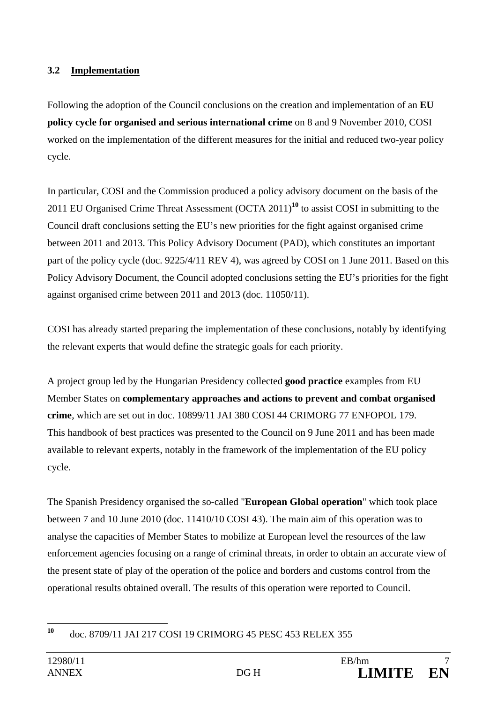#### **3.2 Implementation**

Following the adoption of the Council conclusions on the creation and implementation of an **EU policy cycle for organised and serious international crime** on 8 and 9 November 2010, COSI worked on the implementation of the different measures for the initial and reduced two-year policy cycle.

In particular, COSI and the Commission produced a policy advisory document on the basis of the 2011 EU Organised Crime Threat Assessment (OCTA 2011)**<sup>10</sup>** to assist COSI in submitting to the Council draft conclusions setting the EU's new priorities for the fight against organised crime between 2011 and 2013. This Policy Advisory Document (PAD), which constitutes an important part of the policy cycle (doc. 9225/4/11 REV 4), was agreed by COSI on 1 June 2011. Based on this Policy Advisory Document, the Council adopted conclusions setting the EU's priorities for the fight against organised crime between 2011 and 2013 (doc. 11050/11).

COSI has already started preparing the implementation of these conclusions, notably by identifying the relevant experts that would define the strategic goals for each priority.

A project group led by the Hungarian Presidency collected **good practice** examples from EU Member States on **complementary approaches and actions to prevent and combat organised crime**, which are set out in doc. 10899/11 JAI 380 COSI 44 CRIMORG 77 ENFOPOL 179. This handbook of best practices was presented to the Council on 9 June 2011 and has been made available to relevant experts, notably in the framework of the implementation of the EU policy cycle.

The Spanish Presidency organised the so-called "**European Global operation**" which took place between 7 and 10 June 2010 (doc. 11410/10 COSI 43). The main aim of this operation was to analyse the capacities of Member States to mobilize at European level the resources of the law enforcement agencies focusing on a range of criminal threats, in order to obtain an accurate view of the present state of play of the operation of the police and borders and customs control from the operational results obtained overall. The results of this operation were reported to Council.

<sup>10</sup> **<sup>10</sup>** doc. 8709/11 JAI 217 COSI 19 CRIMORG 45 PESC 453 RELEX 355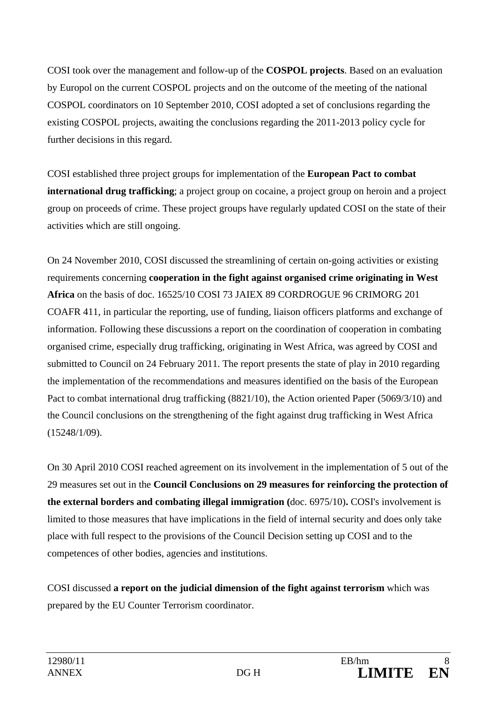COSI took over the management and follow-up of the **COSPOL projects**. Based on an evaluation by Europol on the current COSPOL projects and on the outcome of the meeting of the national COSPOL coordinators on 10 September 2010, COSI adopted a set of conclusions regarding the existing COSPOL projects, awaiting the conclusions regarding the 2011-2013 policy cycle for further decisions in this regard.

COSI established three project groups for implementation of the **European Pact to combat international drug trafficking**; a project group on cocaine, a project group on heroin and a project group on proceeds of crime. These project groups have regularly updated COSI on the state of their activities which are still ongoing.

On 24 November 2010, COSI discussed the streamlining of certain on-going activities or existing requirements concerning **cooperation in the fight against organised crime originating in West Africa** on the basis of doc. 16525/10 COSI 73 JAIEX 89 CORDROGUE 96 CRIMORG 201 COAFR 411, in particular the reporting, use of funding, liaison officers platforms and exchange of information. Following these discussions a report on the coordination of cooperation in combating organised crime, especially drug trafficking, originating in West Africa, was agreed by COSI and submitted to Council on 24 February 2011. The report presents the state of play in 2010 regarding the implementation of the recommendations and measures identified on the basis of the European Pact to combat international drug trafficking (8821/10), the Action oriented Paper (5069/3/10) and the Council conclusions on the strengthening of the fight against drug trafficking in West Africa (15248/1/09).

On 30 April 2010 COSI reached agreement on its involvement in the implementation of 5 out of the 29 measures set out in the **Council Conclusions on 29 measures for reinforcing the protection of the external borders and combating illegal immigration (**doc. 6975/10)**.** COSI's involvement is limited to those measures that have implications in the field of internal security and does only take place with full respect to the provisions of the Council Decision setting up COSI and to the competences of other bodies, agencies and institutions.

COSI discussed **a report on the judicial dimension of the fight against terrorism** which was prepared by the EU Counter Terrorism coordinator.